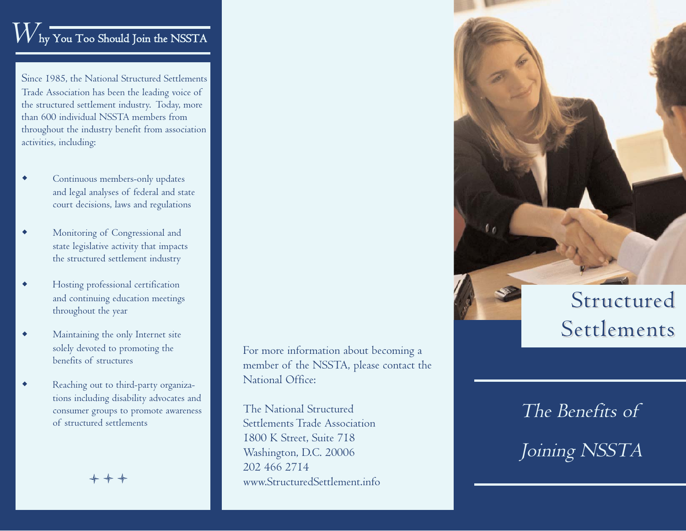#### $V$  hy You Too Should Join the NSSTA

Since 1985, the National Structured Settlements Trade Association has been the leading voice of the structured settlement industry. Today, more than 600 individual NSSTA members from throughout the industry benefit from association activities, including:

- $\bullet$  Continuous members-only updates and legal analyses of federal and state court decisions, laws and regulations
- $\bullet$  Monitoring of Congressional and state legislative activity that impacts the structured settlement industry
- $\bullet$  Hosting professional certification and continuing education meetings throughout the year
- $\bullet$  Maintaining the only Internet site solely devoted to promoting the benefits of structures
- $\bullet$  Reaching out to third-party organizations including disability advocates and consumer groups to promote awareness of structured settlements

+ + +

For more information about becoming a member of the NSSTA, please contact the National Office:

The National Structured Settlements Trade Association 1800 K Street, Suite 718 Washington, D.C. 20006 202 466 2714 www.StructuredSettlement.info

## Structured Settlements

# Joining NSSTA

The Benefits of